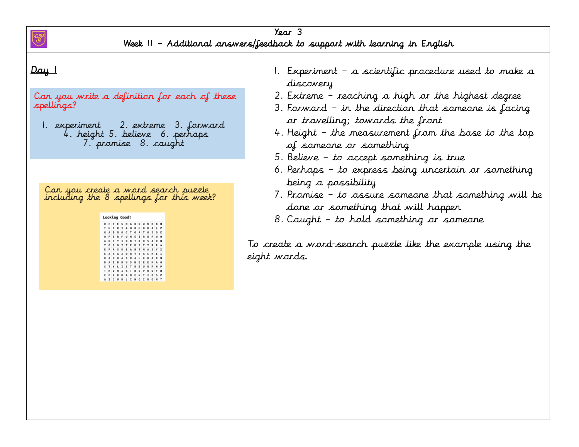

Can you write a definition for each of these spellings?

2. extreme 3. forward 1. experiment 4. height 5. believe 6. perhaps 7. promise 8. caught

|  | Can you create a word search puzzle      |
|--|------------------------------------------|
|  | including the 8 spellings for this week? |

| D | ε | v   | ε        | s | н  | ٨ | D            | ٥ | м | N | N            |   | Ħ |
|---|---|-----|----------|---|----|---|--------------|---|---|---|--------------|---|---|
| т | u | Ć   | R        | I | A  | н | ٥            | н | D | Ħ | A            | L | Þ |
| G | A |     | M        | ۰ | c  | т | ۰            | A | т | ٥ | s            | ٥ | Ε |
| ٥ | Ð |     | ٠        | к | u  | м | E            | I | R | u | p            | м | ٥ |
| A | N | s   | ٧        | I | o  | B | т            | 変 | o | s | A            | D | м |
| т | o | s   | $\Omega$ | I | т  | F | к            | s | т | т | R            | R | ٨ |
| E | Þ |     | s        | D | E  | ٨ | B            | т | м | ۸ | Ś            | ٧ | x |
| E |   | ٠   | ٠        | z | ٥  | 象 | ٧            | ٧ | A | c | н            | E | I |
| R | A | N   | u        | А | s  | ۰ | А            | ι | к | н | А            | ٠ | N |
| ٠ | А | ı   | в        | ٠ | u  | s | н            | E | E | к | $\mathbf{M}$ | ٠ | Ğ |
| s | T | ٧   | ι        | I | s  | т | 良            | E | u | u | p            | N | Ð |
| т | н | n   | м        | I | ٠  | т | N            | s | P | N | Ō            | ٧ | M |
| c | P | F   | ٠        | м | ٨  | N | E            | N | т | I | o            | s | ρ |
| A |   | I C | U        | R | L. | I | $\mathbf{N}$ | G | I | R | $\circ$      | N | т |

- 1. Experiment a scientific procedure used to make a discovery
- 2. Extreme reaching a high or the highest degree
- 3. Forward in the direction that someone is facing or travelling; towards the front
- 4. Height the measurement from the base to the top of someone or something
- 5. Believe to accept something is true
- 6. Perhaps to express being uncertain or something being a possibility
- 7. Promise to assure someone that something will be done or something that will happen
- 8. Caught to hold something or someone

To create a word-search puzzle like the example using the eight words.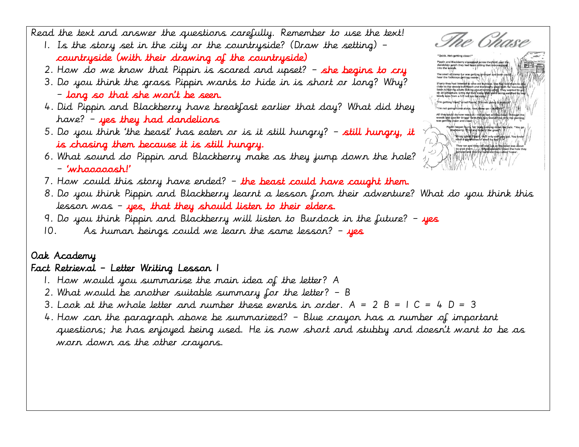Read the text and answer the questions carefully. Remember to use the text!

- 1. Is the story set in the city or the countryside? (Draw the setting) countryside (with their drawing of the countryside)
- 2. How do we know that Pippin is scared and upset?  $-$  she begins to cry
- 3. Do you think the grass Pippin wants to hide in is short or long? Why? – long so that she won't be seen.
- 4. Did Pippin and Blackberry have breakfast earlier that day? What did they have? – yes they had dandelions
- 5. Do you think 'the beast' has eaten or is it still hungry?  $-$  still hungry, it is chasing them because it is still hungry.
- 6. What sound do Pippin and Blackberry make as they jump down the hole? – 'whooooosh!'
- 7. How could this story have ended? the beast could have caught them.
- 8. Do you think Pippin and Blackberry learnt a lesson from their adventure? What do you think this lesson was – yes, that they should listen to their elders.
- 9. Do you think Pippin and Blackberry will listen to Burdock in the future?  $-$  yes
- 10. As human beings could we learn the same lesson?  $-$  yes

#### Oak Academy

#### Fact Retrieval – Letter Writing Lesson 1

- 1. How would you summarise the main idea of the letter? A
- 2. What would be another suitable summary for the letter? B
- 3. Look at the whole letter and number these events in order.  $A = 2 B = \square C = 4 D = 3$
- 4. How can the paragraph above be summarized? Blue crayon has a number of important questions; he has enjoyed being used. He is now short and stubby and doesn't want to be as worn down as the other crayons.

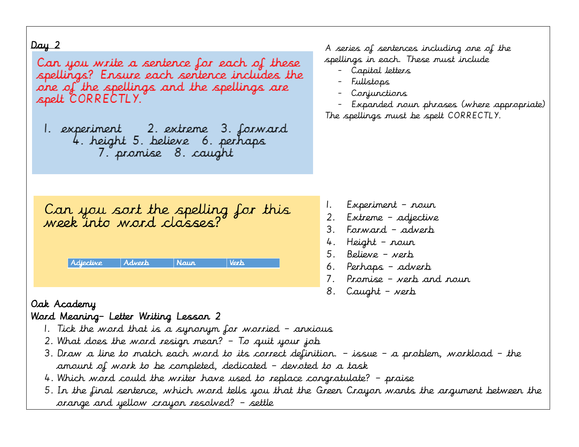Can you write a sentence for each of these spellings? Ensure each sentence includes the one of the spellings and the spellings are spelt CORRECTLY.

1. experiment 2. extreme 3. forward 4. height 5. believe 6. perhaps 7. promise 8. caught

Can you sort the spelling for this<br>week into word classes?

| Adjective | Adverb | Naur | Verh. |
|-----------|--------|------|-------|
|           |        |      |       |

A series of sentences including one of the spellings in each. These must include

- Capital letters
	- Fullstops
	- Conjunctions
- Expanded noun phrases (where appropriate) The spellings must be spelt CORRECTLY.

- 1. Experiment noun
- 2. Extreme adjective
- 3. Forward adverb
- 4. Height noun
- 5. Believe verb
- 6. Perhaps adverb
- 7. Promise verb and noun
- 8. Caught verb

## Oak Academy

# Word Meaning– Letter Writing Lesson 2

- 1. Tick the word that is a synonym for worried anxious
- 2. What does the word resign mean? To quit your job
- 3. Draw a line to match each word to its correct definition. issue a problem, workload the amount of work to be completed, dedicated – devoted to a task
- 4. Which word could the writer have used to replace congratulate? praise
- 5. In the final sentence, which word tells you that the Green Crayon wants the argument between the orange and yellow crayon resolved? – settle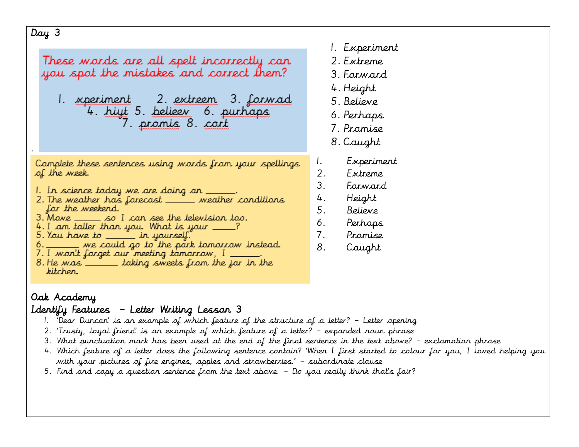.

These words are all spelt incorrectly can you spot the mistakes and correct them? 1. xperiment \_ 2. extreem 3. forwad 4. hiyt 5. belieer 6. purhaps 7. promis 8. cort Complete these sentences using words from your spellings of the week. 1. In science today we are doing an \_\_\_\_\_. 2. The weather has forecast \_\_\_\_ weather conditions for the weekend.  $3. \,$  Move \_\_\_\_\_\_\_ so I can see the television too. 4. I am taller than you. What is your  $\frac{1}{2}$ ? 5. You have to  $\_\_$  in yourself. 6. \_\_\_\_\_ we could go to the park tomorrow instead. 7. I won't forget our meeting tomorrow, I \_\_\_\_\_.

8. He was \_\_\_\_\_\_\_ taking sweets from the jar in the kitcher.

- 1. Experiment
- 2. Extreme
- 3. Forward
- 4. Height
- 5. Believe
- 6. Perhaps
- 7. Promise
- 8. Caught
- 1. Experiment
- 2. Extreme
- 3. Forward
- 4. Height
- 5. Believe
- 6. Perhaps
- 7. Promise
- 8. Caught

## Oak Academy

## Identify Features – Letter Writing Lesson 3

- 1. 'Dear Duncan' is an example of which feature of the structure of a letter? Letter opening
- 2. 'Trusty, loyal friend' is an example of which feature of a letter? expanded noun phrase
- 3. What punctuation mark has been used at the end of the final sentence in the text above? exclamation phrase
- 4. Which feature of a letter does the following sentence contain? 'When I first started to colour for you, I loved helping you with your pictures of fire engines, apples and strawberries.' – subordinate clause
- 5. Find and copy a question sentence from the text above. Do you really think that's fair?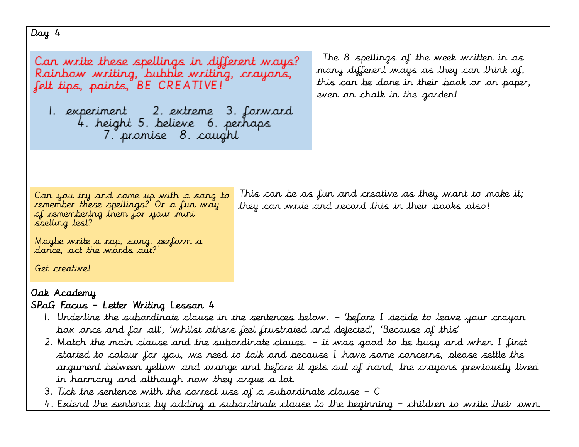Can write these spellings in different ways? Rainbow writing, bubble writing, crayons, felt tips, paints, BE CREATIVE!

1. experiment - 2. extreme - 3. forward 4. height 5. believe 6. perhaps 7. promise 8. caught

The 8 spellings of the week written in as many different ways as they can think of, this can be done in their book or on paper, even on chalk in the garden!

Can you try and come up with a song to remember these spellings? Or a fun way of remembering them for your mini spelling test?

This can be as fun and creative as they want to make it; they can write and record this in their books also!

Maybe write a rap, song, perform a<br>dance, act the words out?

Get creative!

## Oak Academy

## SPaG Focus – Letter Writing Lesson 4

- 1. Underline the subordinate clause in the sentences below. 'before I decide to leave your crayon box once and for all', 'whilst others feel frustrated and dejected', 'Because of this'
- 2. Match the main clause and the subordinate clause. it was good to be busy and when I first started to colour for you, we need to talk and because I have some concerns, please settle the argument between yellow and orange and before it gets out of hand, the crayons previously lived in harmony and although now they argue a lot.
- 3. Tick the sentence with the correct use of a subordinate clause C
- 4. Extend the sentence by adding a subordinate clause to the beginning children to write their own.